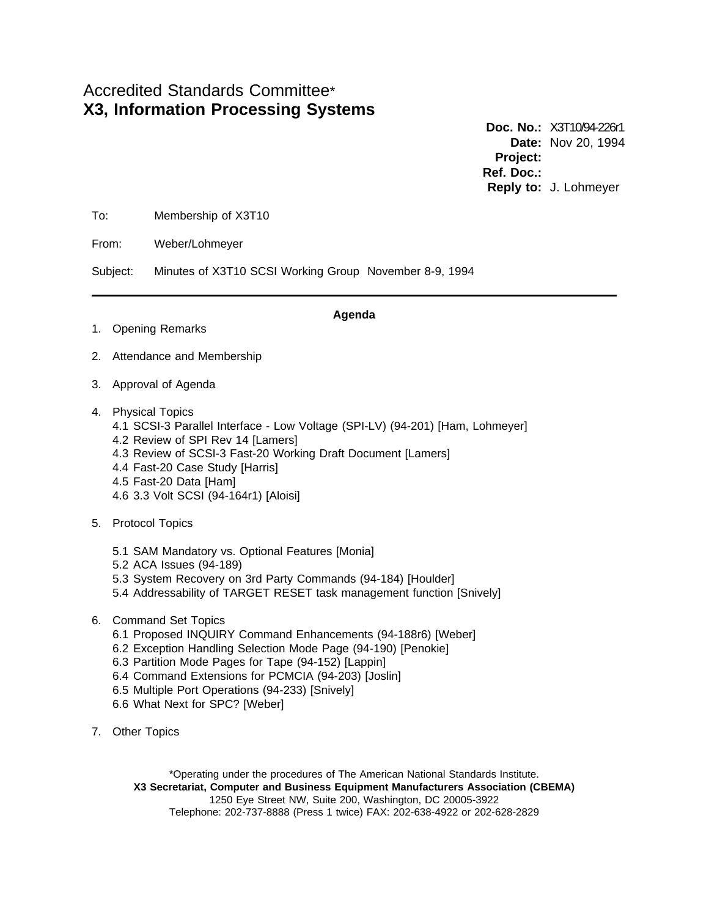# Accredited Standards Committee\* **X3, Information Processing Systems**

**Doc. No.:** X3T10/94-226r1 **Date:** Nov 20, 1994 **Project: Ref. Doc.: Reply to:** J. Lohmeyer

To: Membership of X3T10

From: Weber/Lohmeyer

Subject: Minutes of X3T10 SCSI Working Group November 8-9, 1994

1. Opening Remarks

#### **Agenda**

- 2. Attendance and Membership
- 3. Approval of Agenda
- 4. Physical Topics
	- 4.1 SCSI-3 Parallel Interface Low Voltage (SPI-LV) (94-201) [Ham, Lohmeyer]
	- 4.2 Review of SPI Rev 14 [Lamers]
	- 4.3 Review of SCSI-3 Fast-20 Working Draft Document [Lamers]
	- 4.4 Fast-20 Case Study [Harris]
	- 4.5 Fast-20 Data [Ham]
	- 4.6 3.3 Volt SCSI (94-164r1) [Aloisi]
- 5. Protocol Topics
	- 5.1 SAM Mandatory vs. Optional Features [Monia]
	- 5.2 ACA Issues (94-189)
	- 5.3 System Recovery on 3rd Party Commands (94-184) [Houlder]
	- 5.4 Addressability of TARGET RESET task management function [Snively]
- 6. Command Set Topics
	- 6.1 Proposed INQUIRY Command Enhancements (94-188r6) [Weber]
	- 6.2 Exception Handling Selection Mode Page (94-190) [Penokie]
	- 6.3 Partition Mode Pages for Tape (94-152) [Lappin]
	- 6.4 Command Extensions for PCMCIA (94-203) [Joslin]
	- 6.5 Multiple Port Operations (94-233) [Snively]
	- 6.6 What Next for SPC? [Weber]
- 7. Other Topics

\*Operating under the procedures of The American National Standards Institute. **X3 Secretariat, Computer and Business Equipment Manufacturers Association (CBEMA)** 1250 Eye Street NW, Suite 200, Washington, DC 20005-3922 Telephone: 202-737-8888 (Press 1 twice) FAX: 202-638-4922 or 202-628-2829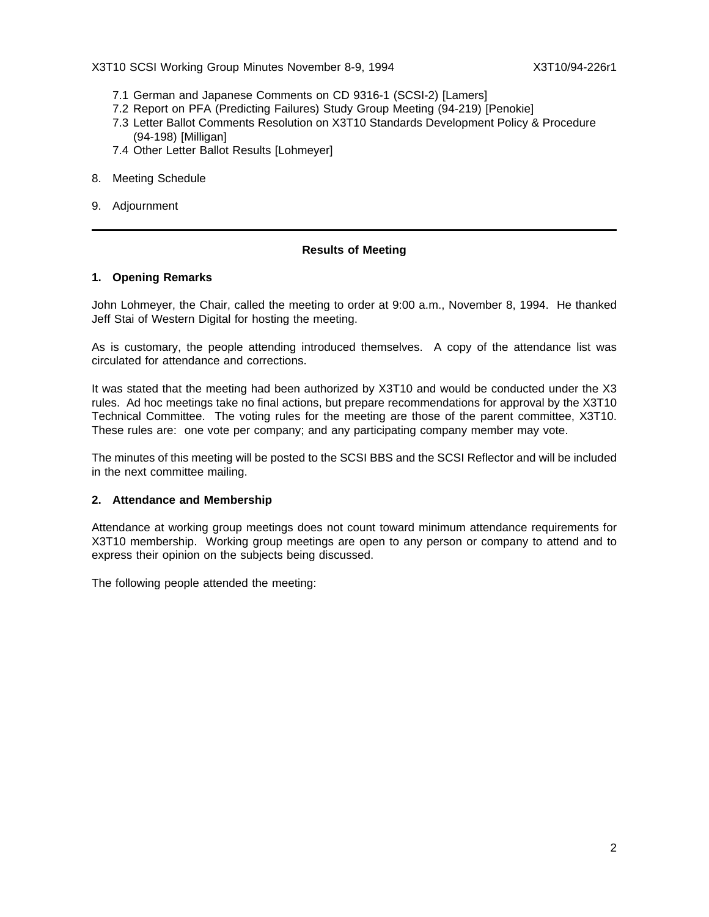X3T10 SCSI Working Group Minutes November 8-9, 1994 X3T10/94-226r1

- 7.1 German and Japanese Comments on CD 9316-1 (SCSI-2) [Lamers]
- 7.2 Report on PFA (Predicting Failures) Study Group Meeting (94-219) [Penokie]
- 7.3 Letter Ballot Comments Resolution on X3T10 Standards Development Policy & Procedure (94-198) [Milligan]
- 7.4 Other Letter Ballot Results [Lohmeyer]
- 8. Meeting Schedule
- 9. Adjournment

## **Results of Meeting**

## **1. Opening Remarks**

John Lohmeyer, the Chair, called the meeting to order at 9:00 a.m., November 8, 1994. He thanked Jeff Stai of Western Digital for hosting the meeting.

As is customary, the people attending introduced themselves. A copy of the attendance list was circulated for attendance and corrections.

It was stated that the meeting had been authorized by X3T10 and would be conducted under the X3 rules. Ad hoc meetings take no final actions, but prepare recommendations for approval by the X3T10 Technical Committee. The voting rules for the meeting are those of the parent committee, X3T10. These rules are: one vote per company; and any participating company member may vote.

The minutes of this meeting will be posted to the SCSI BBS and the SCSI Reflector and will be included in the next committee mailing.

## **2. Attendance and Membership**

Attendance at working group meetings does not count toward minimum attendance requirements for X3T10 membership. Working group meetings are open to any person or company to attend and to express their opinion on the subjects being discussed.

The following people attended the meeting: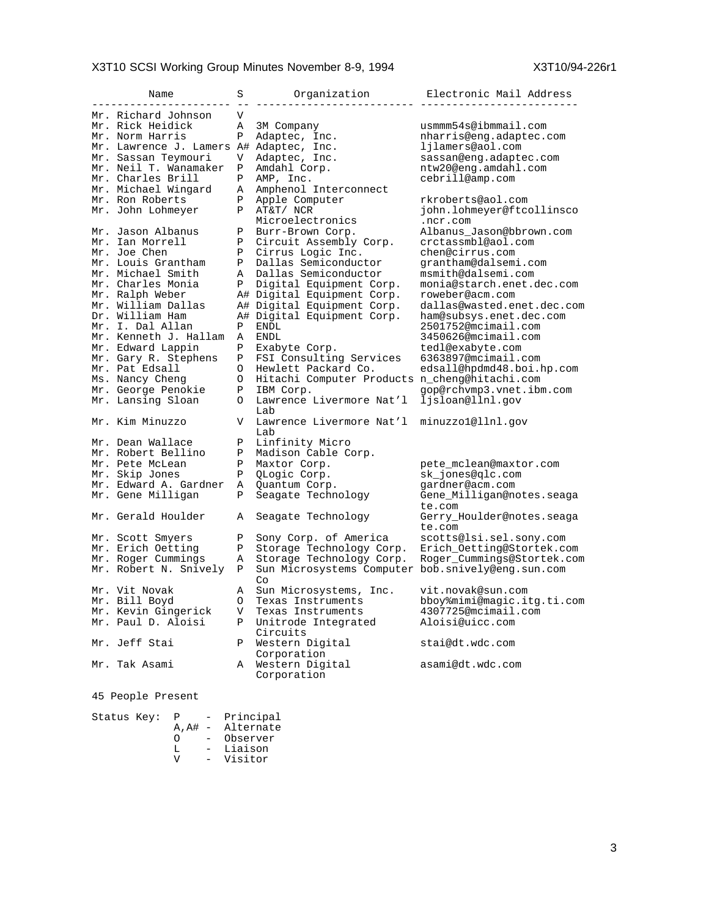## X3T10 SCSI Working Group Minutes November 8-9, 1994 <br>
X3T10/94-226r1

| Name                                    | S            | Organization                                            | Electronic Mail Address             |
|-----------------------------------------|--------------|---------------------------------------------------------|-------------------------------------|
| Mr. Richard Johnson                     | V            |                                                         |                                     |
| Mr. Rick Heidick                        | Α            | 3M Company                                              | usmmm54s@ibmmail.com                |
| Mr. Norm Harris                         | Ρ            | Adaptec, Inc.                                           | nharris@enq.adaptec.com             |
| Mr. Lawrence J. Lamers A# Adaptec, Inc. |              |                                                         | ljlamers@aol.com                    |
| Mr. Sassan Teymouri                     | V            | Adaptec, Inc.                                           | sassan@eng.adaptec.com              |
| Mr. Neil T. Wanamaker                   | Ρ            | Amdahl Corp.                                            | ntw20@eng.amdahl.com                |
| Mr. Charles Brill                       | P            | AMP, Inc.                                               | cebrill@amp.com                     |
| Mr. Michael Wingard                     |              |                                                         |                                     |
|                                         | Α            | Amphenol Interconnect                                   |                                     |
| Mr. Ron Roberts                         | Ρ<br>P       | Apple Computer                                          | rkroberts@aol.com                   |
| Mr. John Lohmeyer                       |              | AT&T/ NCR<br>Microelectronics                           | john.lohmeyer@ftcollinsco           |
|                                         |              |                                                         | .ncr.com                            |
| Mr. Jason Albanus                       | Ρ            | Burr-Brown Corp.                                        | Albanus Jason@bbrown.com            |
| Mr. Ian Morrell                         | Ρ            | Circuit Assembly Corp.                                  | crctassmbl@aol.com                  |
| Mr. Joe Chen                            | $\mathbf{P}$ | Cirrus Logic Inc.                                       | chen@cirrus.com                     |
| Mr. Louis Grantham                      | Ρ            | Dallas Semiconductor                                    | grantham@dalsemi.com                |
| Mr. Michael Smith                       | Α            | Dallas Semiconductor                                    | msmith@dalsemi.com                  |
| Mr. Charles Monia                       | P            | Digital Equipment Corp.                                 | monia@starch.enet.dec.com           |
| Mr. Ralph Weber                         |              | A# Digital Equipment Corp.                              | roweber@acm.com                     |
| Mr. William Dallas                      |              | A# Digital Equipment Corp.                              | dallas@wasted.enet.dec.com          |
| Dr. William Ham                         |              | A# Digital Equipment Corp.                              | ham@subsys.enet.dec.com             |
| Mr. I. Dal Allan                        | Ρ            | ENDL                                                    | 2501752@mcimail.com                 |
| Mr. Kenneth J. Hallam                   | Α            | <b>ENDL</b>                                             | 3450626@mcimail.com                 |
| Mr. Edward Lappin                       | Ρ            | Exabyte Corp.                                           | tedl@exabyte.com                    |
| Mr. Gary R. Stephens                    | $\mathbf{P}$ | FSI Consulting Services                                 | 6363897@mcimail.com                 |
| Mr. Pat Edsall                          | O            | Hewlett Packard Co.                                     | edsall@hpdmd48.boi.hp.com           |
| Ms. Nancy Cheng                         | O            | Hitachi Computer Products n_cheng@hitachi.com           |                                     |
| Mr. George Penokie                      | P            | IBM Corp.                                               | qop@rchvmp3.vnet.ibm.com            |
| Mr. Lansing Sloan                       | O            | Lawrence Livermore Nat'l<br>Lab                         | ljsloan@llnl.qov                    |
| Mr. Kim Minuzzo                         | V            | Lawrence Livermore Nat'l<br>Lab                         | minuzzo1@llnl.gov                   |
| Mr. Dean Wallace                        | Ρ            | Linfinity Micro                                         |                                     |
| Mr. Robert Bellino                      | $\mathbf{P}$ | Madison Cable Corp.                                     |                                     |
| Mr. Pete McLean                         | Ρ            | Maxtor Corp.                                            | pete_mclean@maxtor.com              |
| Mr. Skip Jones                          | Ρ            | QLogic Corp.                                            | sk_jones@qlc.com                    |
| Mr. Edward A. Gardner                   | Α            | Quantum Corp.                                           | gardner@acm.com                     |
| Mr. Gene Milligan                       | P            | Seagate Technology                                      | Gene_Milligan@notes.seaga<br>te.com |
| Mr. Gerald Houlder                      | Α            | Seagate Technology                                      | Gerry_Houlder@notes.seaga<br>te.com |
| Mr. Scott Smyers                        | Ρ            | Sony Corp. of America                                   | scotts@lsi.sel.sony.com             |
| Mr. Erich Oetting                       | Ρ            | Storage Technology Corp.                                | Erich Oetting@Stortek.com           |
| Mr. Roger Cummings                      | Α            | Storage Technology Corp.                                | Roger_Cummings@Stortek.com          |
| Mr. Robert N. Snively                   | Ρ            | Sun Microsystems Computer bob.snively@eng.sun.com<br>Co |                                     |
| Mr. Vit Novak                           | Α            | Sun Microsystems, Inc.                                  | vit.novak@sun.com                   |
| Mr. Bill Boyd                           | O            | Texas Instruments                                       | bboy%mimi@magic.itg.ti.com          |
| Mr. Kevin Gingerick                     | V            | Texas Instruments                                       | 4307725@mcimail.com                 |
| Mr. Paul D. Aloisi                      | $\mathbf{P}$ | Unitrode Integrated<br>Circuits                         | Aloisi@uicc.com                     |
| Mr. Jeff Stai                           | Ρ            | Western Digital                                         | stai@dt.wdc.com                     |
| Mr. Tak Asami                           | Α            | Corporation<br>Western Digital<br>Corporation           | asami@dt.wdc.com                    |
|                                         |              |                                                         |                                     |

45 People Present

Status Key: P - Principal A,A# - Alternate O - Observer L - Liaison V - Visitor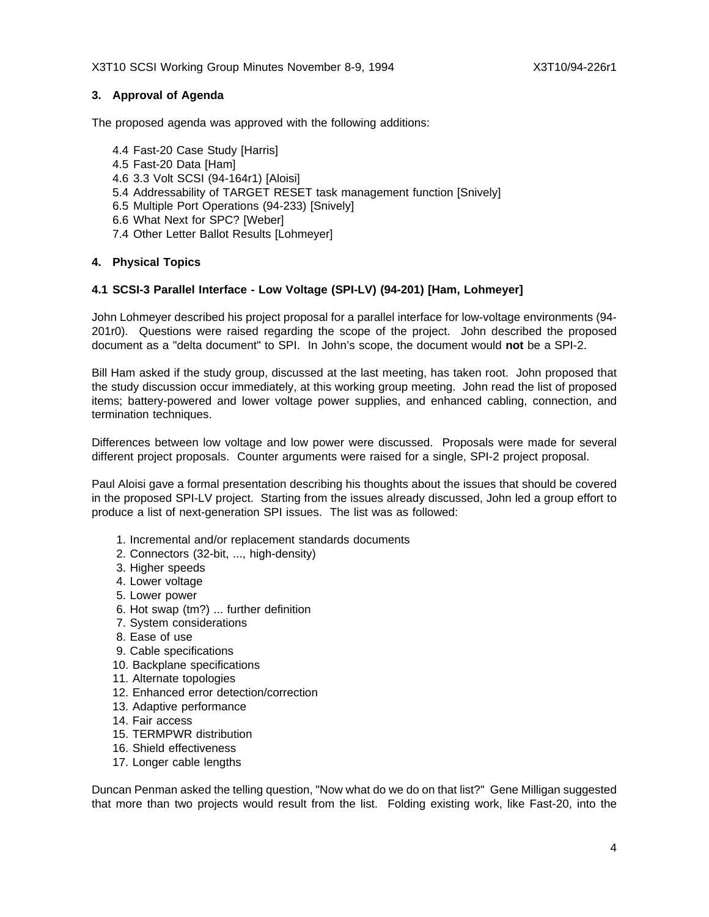## **3. Approval of Agenda**

The proposed agenda was approved with the following additions:

4.4 Fast-20 Case Study [Harris] 4.5 Fast-20 Data [Ham] 4.6 3.3 Volt SCSI (94-164r1) [Aloisi] 5.4 Addressability of TARGET RESET task management function [Snively] 6.5 Multiple Port Operations (94-233) [Snively] 6.6 What Next for SPC? [Weber] 7.4 Other Letter Ballot Results [Lohmeyer]

## **4. Physical Topics**

## **4.1 SCSI-3 Parallel Interface - Low Voltage (SPI-LV) (94-201) [Ham, Lohmeyer]**

John Lohmeyer described his project proposal for a parallel interface for low-voltage environments (94- 201r0). Questions were raised regarding the scope of the project. John described the proposed document as a "delta document" to SPI. In John's scope, the document would **not** be a SPI-2.

Bill Ham asked if the study group, discussed at the last meeting, has taken root. John proposed that the study discussion occur immediately, at this working group meeting. John read the list of proposed items; battery-powered and lower voltage power supplies, and enhanced cabling, connection, and termination techniques.

Differences between low voltage and low power were discussed. Proposals were made for several different project proposals. Counter arguments were raised for a single, SPI-2 project proposal.

Paul Aloisi gave a formal presentation describing his thoughts about the issues that should be covered in the proposed SPI-LV project. Starting from the issues already discussed, John led a group effort to produce a list of next-generation SPI issues. The list was as followed:

- 1. Incremental and/or replacement standards documents
- 2. Connectors (32-bit, ..., high-density)
- 3. Higher speeds
- 4. Lower voltage
- 5. Lower power
- 6. Hot swap (tm?) ... further definition
- 7. System considerations
- 8. Ease of use
- 9. Cable specifications
- 10. Backplane specifications
- 11. Alternate topologies
- 12. Enhanced error detection/correction
- 13. Adaptive performance
- 14. Fair access
- 15. TERMPWR distribution
- 16. Shield effectiveness
- 17. Longer cable lengths

Duncan Penman asked the telling question, "Now what do we do on that list?" Gene Milligan suggested that more than two projects would result from the list. Folding existing work, like Fast-20, into the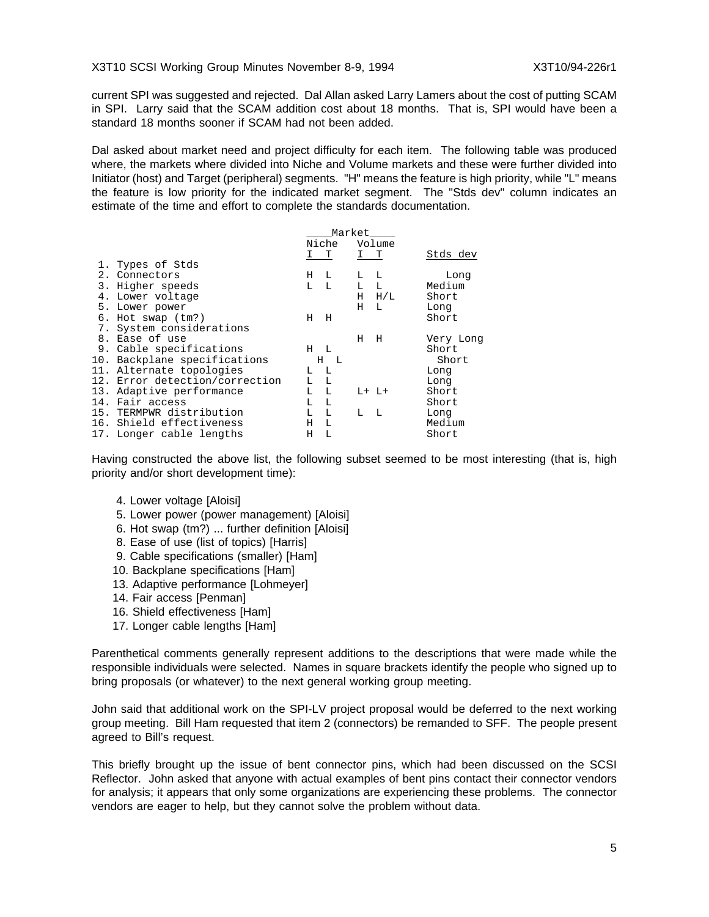current SPI was suggested and rejected. Dal Allan asked Larry Lamers about the cost of putting SCAM in SPI. Larry said that the SCAM addition cost about 18 months. That is, SPI would have been a standard 18 months sooner if SCAM had not been added.

Dal asked about market need and project difficulty for each item. The following table was produced where, the markets where divided into Niche and Volume markets and these were further divided into Initiator (host) and Target (peripheral) segments. "H" means the feature is high priority, while "L" means the feature is low priority for the indicated market segment. The "Stds dev" column indicates an estimate of the time and effort to complete the standards documentation.

|                                |       | Market       |     |           |           |
|--------------------------------|-------|--------------|-----|-----------|-----------|
|                                |       | Niche        |     | Volume    |           |
|                                | I T   |              | I T |           | Stds dev  |
| 1. Types of Stds               |       |              |     |           |           |
| 2. Connectors                  | H L   |              | L   | L         | Long      |
| 3. Higher speeds               | L.    | $\mathbb{L}$ | L L |           | Medium    |
| 4. Lower voltage               |       |              |     | $H$ $H/L$ | Short     |
| 5. Lower power                 |       |              | Н   | L         | Long      |
| $6.$ Hot swap $(tm?)$          | $H$ H |              |     |           | Short     |
| 7. System considerations       |       |              |     |           |           |
| 8. Ease of use                 |       |              | Н   | н         | Very Long |
| 9. Cable specifications        | $H$ L |              |     |           | Short     |
| 10. Backplane specifications   |       | $H$ L        |     |           | Short     |
| 11. Alternate topologies       | $L-L$ |              |     |           | Long      |
| 12. Error detection/correction | L.    | $\mathbb{L}$ |     |           | Long      |
| 13. Adaptive performance       | L L   |              |     | $L+L+$    | Short     |
| 14. Fair access                | т.    | L            |     |           | Short     |
| 15. TERMPWR distribution       | L.    | $\mathbb{L}$ | L   | - L       | Long      |
| 16. Shield effectiveness       | H.    | L            |     |           | Medium    |
| 17. Longer cable lengths       | Н     | L            |     |           | Short     |
|                                |       |              |     |           |           |

Having constructed the above list, the following subset seemed to be most interesting (that is, high priority and/or short development time):

- 4. Lower voltage [Aloisi]
- 5. Lower power (power management) [Aloisi]
- 6. Hot swap (tm?) ... further definition [Aloisi]
- 8. Ease of use (list of topics) [Harris]
- 9. Cable specifications (smaller) [Ham]
- 10. Backplane specifications [Ham]
- 13. Adaptive performance [Lohmeyer]
- 14. Fair access [Penman]
- 16. Shield effectiveness [Ham]
- 17. Longer cable lengths [Ham]

Parenthetical comments generally represent additions to the descriptions that were made while the responsible individuals were selected. Names in square brackets identify the people who signed up to bring proposals (or whatever) to the next general working group meeting.

John said that additional work on the SPI-LV project proposal would be deferred to the next working group meeting. Bill Ham requested that item 2 (connectors) be remanded to SFF. The people present agreed to Bill's request.

This briefly brought up the issue of bent connector pins, which had been discussed on the SCSI Reflector. John asked that anyone with actual examples of bent pins contact their connector vendors for analysis; it appears that only some organizations are experiencing these problems. The connector vendors are eager to help, but they cannot solve the problem without data.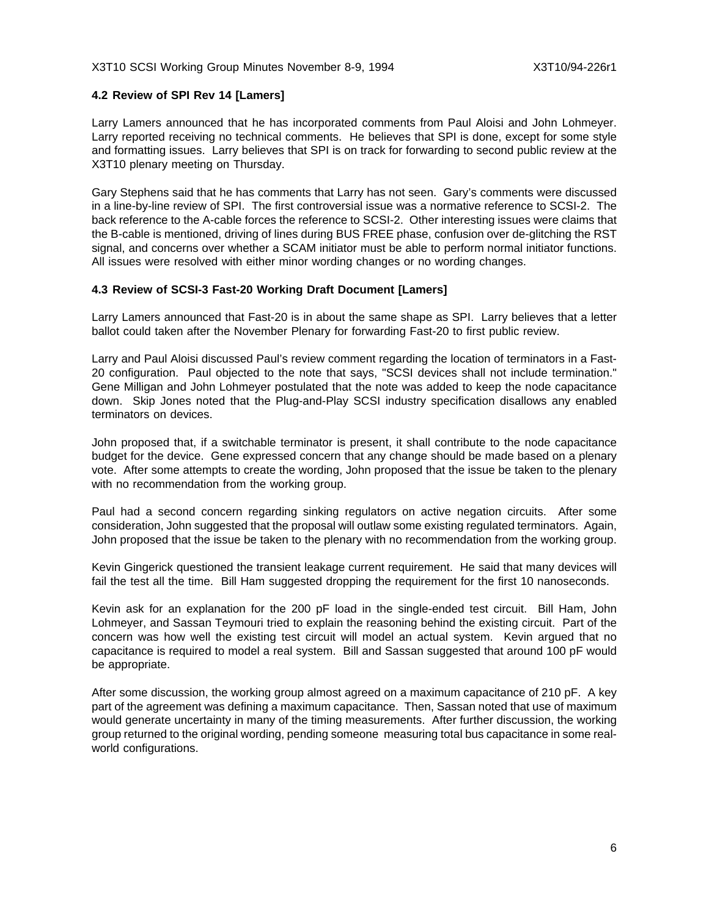#### X3T10 SCSI Working Group Minutes November 8-9, 1994 X3T10/94-226r1

## **4.2 Review of SPI Rev 14 [Lamers]**

Larry Lamers announced that he has incorporated comments from Paul Aloisi and John Lohmeyer. Larry reported receiving no technical comments. He believes that SPI is done, except for some style and formatting issues. Larry believes that SPI is on track for forwarding to second public review at the X3T10 plenary meeting on Thursday.

Gary Stephens said that he has comments that Larry has not seen. Gary's comments were discussed in a line-by-line review of SPI. The first controversial issue was a normative reference to SCSI-2. The back reference to the A-cable forces the reference to SCSI-2. Other interesting issues were claims that the B-cable is mentioned, driving of lines during BUS FREE phase, confusion over de-glitching the RST signal, and concerns over whether a SCAM initiator must be able to perform normal initiator functions. All issues were resolved with either minor wording changes or no wording changes.

## **4.3 Review of SCSI-3 Fast-20 Working Draft Document [Lamers]**

Larry Lamers announced that Fast-20 is in about the same shape as SPI. Larry believes that a letter ballot could taken after the November Plenary for forwarding Fast-20 to first public review.

Larry and Paul Aloisi discussed Paul's review comment regarding the location of terminators in a Fast-20 configuration. Paul objected to the note that says, "SCSI devices shall not include termination." Gene Milligan and John Lohmeyer postulated that the note was added to keep the node capacitance down. Skip Jones noted that the Plug-and-Play SCSI industry specification disallows any enabled terminators on devices.

John proposed that, if a switchable terminator is present, it shall contribute to the node capacitance budget for the device. Gene expressed concern that any change should be made based on a plenary vote. After some attempts to create the wording, John proposed that the issue be taken to the plenary with no recommendation from the working group.

Paul had a second concern regarding sinking regulators on active negation circuits. After some consideration, John suggested that the proposal will outlaw some existing regulated terminators. Again, John proposed that the issue be taken to the plenary with no recommendation from the working group.

Kevin Gingerick questioned the transient leakage current requirement. He said that many devices will fail the test all the time. Bill Ham suggested dropping the requirement for the first 10 nanoseconds.

Kevin ask for an explanation for the 200 pF load in the single-ended test circuit. Bill Ham, John Lohmeyer, and Sassan Teymouri tried to explain the reasoning behind the existing circuit. Part of the concern was how well the existing test circuit will model an actual system. Kevin argued that no capacitance is required to model a real system. Bill and Sassan suggested that around 100 pF would be appropriate.

After some discussion, the working group almost agreed on a maximum capacitance of 210 pF. A key part of the agreement was defining a maximum capacitance. Then, Sassan noted that use of maximum would generate uncertainty in many of the timing measurements. After further discussion, the working group returned to the original wording, pending someone measuring total bus capacitance in some realworld configurations.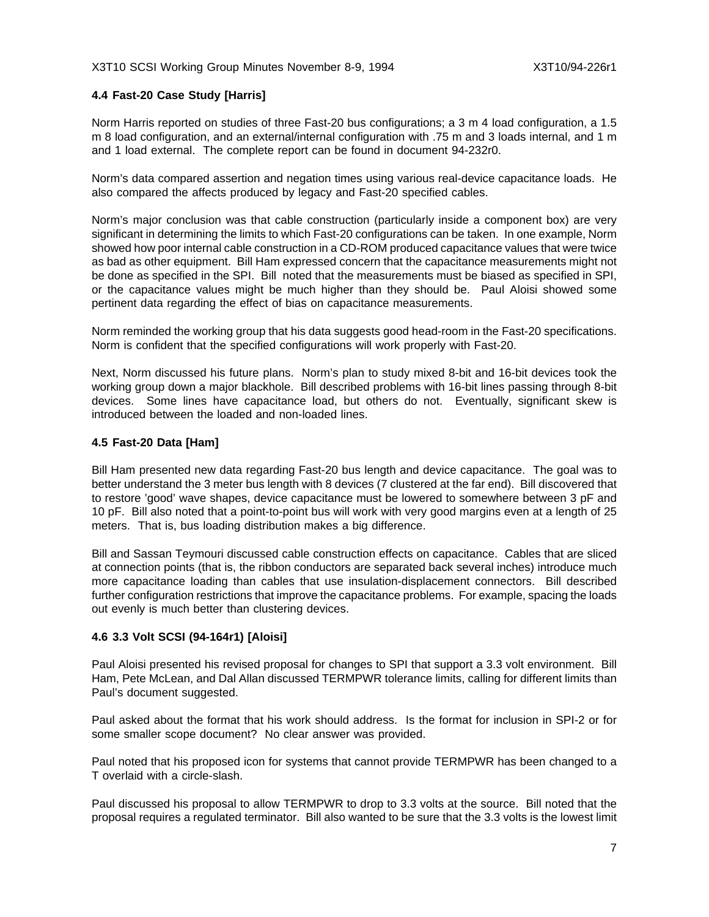## **4.4 Fast-20 Case Study [Harris]**

Norm Harris reported on studies of three Fast-20 bus configurations; a 3 m 4 load configuration, a 1.5 m 8 load configuration, and an external/internal configuration with .75 m and 3 loads internal, and 1 m and 1 load external. The complete report can be found in document 94-232r0.

Norm's data compared assertion and negation times using various real-device capacitance loads. He also compared the affects produced by legacy and Fast-20 specified cables.

Norm's major conclusion was that cable construction (particularly inside a component box) are very significant in determining the limits to which Fast-20 configurations can be taken. In one example, Norm showed how poor internal cable construction in a CD-ROM produced capacitance values that were twice as bad as other equipment. Bill Ham expressed concern that the capacitance measurements might not be done as specified in the SPI. Bill noted that the measurements must be biased as specified in SPI, or the capacitance values might be much higher than they should be. Paul Aloisi showed some pertinent data regarding the effect of bias on capacitance measurements.

Norm reminded the working group that his data suggests good head-room in the Fast-20 specifications. Norm is confident that the specified configurations will work properly with Fast-20.

Next, Norm discussed his future plans. Norm's plan to study mixed 8-bit and 16-bit devices took the working group down a major blackhole. Bill described problems with 16-bit lines passing through 8-bit devices. Some lines have capacitance load, but others do not. Eventually, significant skew is introduced between the loaded and non-loaded lines.

## **4.5 Fast-20 Data [Ham]**

Bill Ham presented new data regarding Fast-20 bus length and device capacitance. The goal was to better understand the 3 meter bus length with 8 devices (7 clustered at the far end). Bill discovered that to restore 'good' wave shapes, device capacitance must be lowered to somewhere between 3 pF and 10 pF. Bill also noted that a point-to-point bus will work with very good margins even at a length of 25 meters. That is, bus loading distribution makes a big difference.

Bill and Sassan Teymouri discussed cable construction effects on capacitance. Cables that are sliced at connection points (that is, the ribbon conductors are separated back several inches) introduce much more capacitance loading than cables that use insulation-displacement connectors. Bill described further configuration restrictions that improve the capacitance problems. For example, spacing the loads out evenly is much better than clustering devices.

## **4.6 3.3 Volt SCSI (94-164r1) [Aloisi]**

Paul Aloisi presented his revised proposal for changes to SPI that support a 3.3 volt environment. Bill Ham, Pete McLean, and Dal Allan discussed TERMPWR tolerance limits, calling for different limits than Paul's document suggested.

Paul asked about the format that his work should address. Is the format for inclusion in SPI-2 or for some smaller scope document? No clear answer was provided.

Paul noted that his proposed icon for systems that cannot provide TERMPWR has been changed to a T overlaid with a circle-slash.

Paul discussed his proposal to allow TERMPWR to drop to 3.3 volts at the source. Bill noted that the proposal requires a regulated terminator. Bill also wanted to be sure that the 3.3 volts is the lowest limit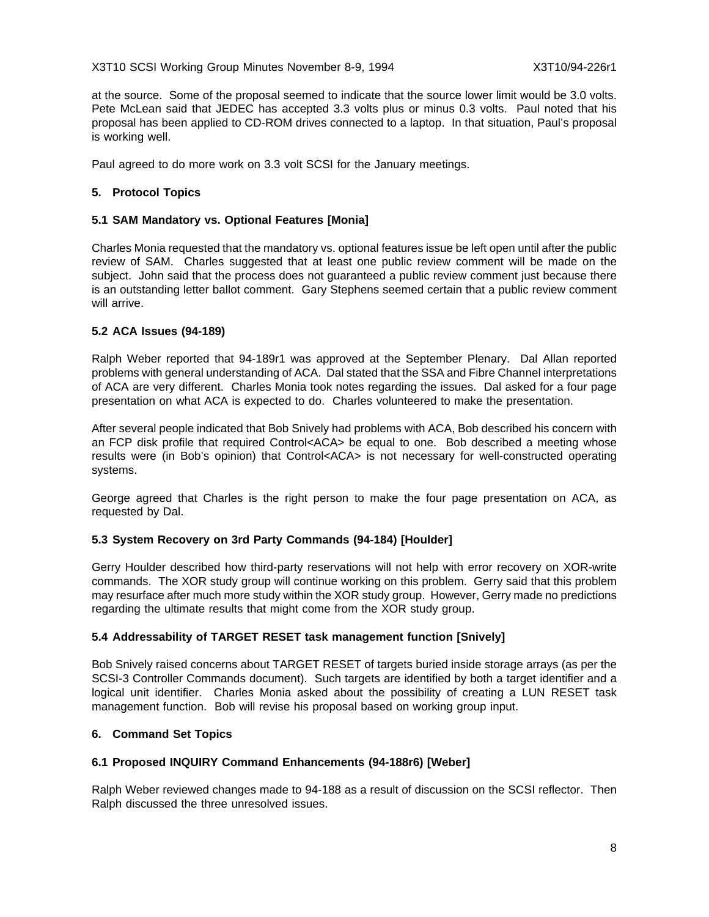## X3T10 SCSI Working Group Minutes November 8-9, 1994 X3T10/94-226r1

at the source. Some of the proposal seemed to indicate that the source lower limit would be 3.0 volts. Pete McLean said that JEDEC has accepted 3.3 volts plus or minus 0.3 volts. Paul noted that his proposal has been applied to CD-ROM drives connected to a laptop. In that situation, Paul's proposal is working well.

Paul agreed to do more work on 3.3 volt SCSI for the January meetings.

## **5. Protocol Topics**

## **5.1 SAM Mandatory vs. Optional Features [Monia]**

Charles Monia requested that the mandatory vs. optional features issue be left open until after the public review of SAM. Charles suggested that at least one public review comment will be made on the subject. John said that the process does not guaranteed a public review comment just because there is an outstanding letter ballot comment. Gary Stephens seemed certain that a public review comment will arrive.

## **5.2 ACA Issues (94-189)**

Ralph Weber reported that 94-189r1 was approved at the September Plenary. Dal Allan reported problems with general understanding of ACA. Dal stated that the SSA and Fibre Channel interpretations of ACA are very different. Charles Monia took notes regarding the issues. Dal asked for a four page presentation on what ACA is expected to do. Charles volunteered to make the presentation.

After several people indicated that Bob Snively had problems with ACA, Bob described his concern with an FCP disk profile that required Control<ACA> be equal to one. Bob described a meeting whose results were (in Bob's opinion) that Control<ACA> is not necessary for well-constructed operating systems.

George agreed that Charles is the right person to make the four page presentation on ACA, as requested by Dal.

## **5.3 System Recovery on 3rd Party Commands (94-184) [Houlder]**

Gerry Houlder described how third-party reservations will not help with error recovery on XOR-write commands. The XOR study group will continue working on this problem. Gerry said that this problem may resurface after much more study within the XOR study group. However, Gerry made no predictions regarding the ultimate results that might come from the XOR study group.

## **5.4 Addressability of TARGET RESET task management function [Snively]**

Bob Snively raised concerns about TARGET RESET of targets buried inside storage arrays (as per the SCSI-3 Controller Commands document). Such targets are identified by both a target identifier and a logical unit identifier. Charles Monia asked about the possibility of creating a LUN RESET task management function. Bob will revise his proposal based on working group input.

## **6. Command Set Topics**

## **6.1 Proposed INQUIRY Command Enhancements (94-188r6) [Weber]**

Ralph Weber reviewed changes made to 94-188 as a result of discussion on the SCSI reflector. Then Ralph discussed the three unresolved issues.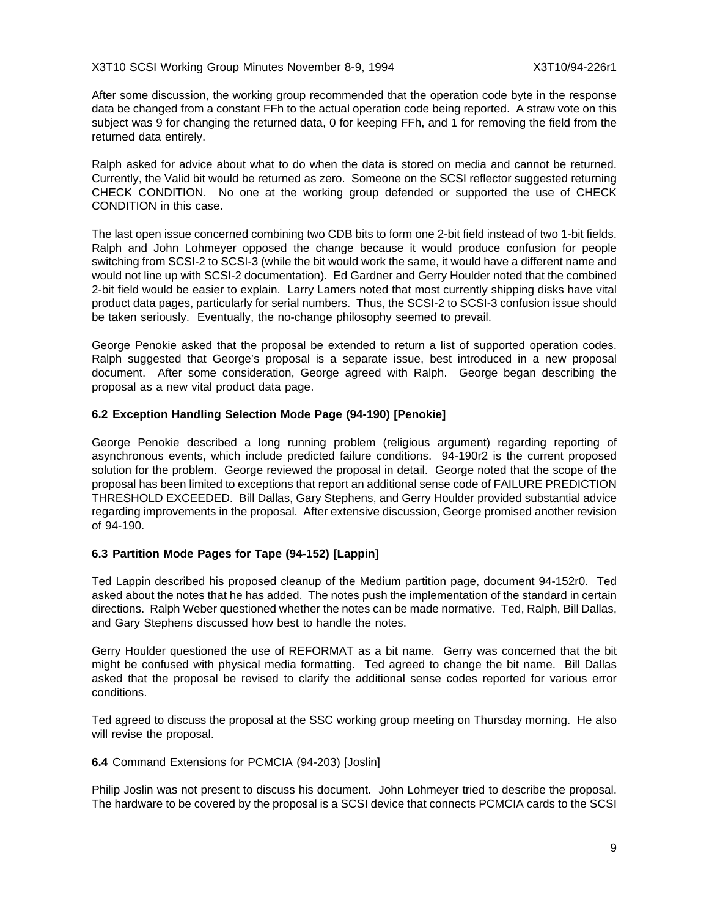After some discussion, the working group recommended that the operation code byte in the response data be changed from a constant FFh to the actual operation code being reported. A straw vote on this subject was 9 for changing the returned data, 0 for keeping FFh, and 1 for removing the field from the returned data entirely.

Ralph asked for advice about what to do when the data is stored on media and cannot be returned. Currently, the Valid bit would be returned as zero. Someone on the SCSI reflector suggested returning CHECK CONDITION. No one at the working group defended or supported the use of CHECK CONDITION in this case.

The last open issue concerned combining two CDB bits to form one 2-bit field instead of two 1-bit fields. Ralph and John Lohmeyer opposed the change because it would produce confusion for people switching from SCSI-2 to SCSI-3 (while the bit would work the same, it would have a different name and would not line up with SCSI-2 documentation). Ed Gardner and Gerry Houlder noted that the combined 2-bit field would be easier to explain. Larry Lamers noted that most currently shipping disks have vital product data pages, particularly for serial numbers. Thus, the SCSI-2 to SCSI-3 confusion issue should be taken seriously. Eventually, the no-change philosophy seemed to prevail.

George Penokie asked that the proposal be extended to return a list of supported operation codes. Ralph suggested that George's proposal is a separate issue, best introduced in a new proposal document. After some consideration, George agreed with Ralph. George began describing the proposal as a new vital product data page.

## **6.2 Exception Handling Selection Mode Page (94-190) [Penokie]**

George Penokie described a long running problem (religious argument) regarding reporting of asynchronous events, which include predicted failure conditions. 94-190r2 is the current proposed solution for the problem. George reviewed the proposal in detail. George noted that the scope of the proposal has been limited to exceptions that report an additional sense code of FAILURE PREDICTION THRESHOLD EXCEEDED. Bill Dallas, Gary Stephens, and Gerry Houlder provided substantial advice regarding improvements in the proposal. After extensive discussion, George promised another revision of 94-190.

## **6.3 Partition Mode Pages for Tape (94-152) [Lappin]**

Ted Lappin described his proposed cleanup of the Medium partition page, document 94-152r0. Ted asked about the notes that he has added. The notes push the implementation of the standard in certain directions. Ralph Weber questioned whether the notes can be made normative. Ted, Ralph, Bill Dallas, and Gary Stephens discussed how best to handle the notes.

Gerry Houlder questioned the use of REFORMAT as a bit name. Gerry was concerned that the bit might be confused with physical media formatting. Ted agreed to change the bit name. Bill Dallas asked that the proposal be revised to clarify the additional sense codes reported for various error conditions.

Ted agreed to discuss the proposal at the SSC working group meeting on Thursday morning. He also will revise the proposal.

#### **6.4** Command Extensions for PCMCIA (94-203) [Joslin]

Philip Joslin was not present to discuss his document. John Lohmeyer tried to describe the proposal. The hardware to be covered by the proposal is a SCSI device that connects PCMCIA cards to the SCSI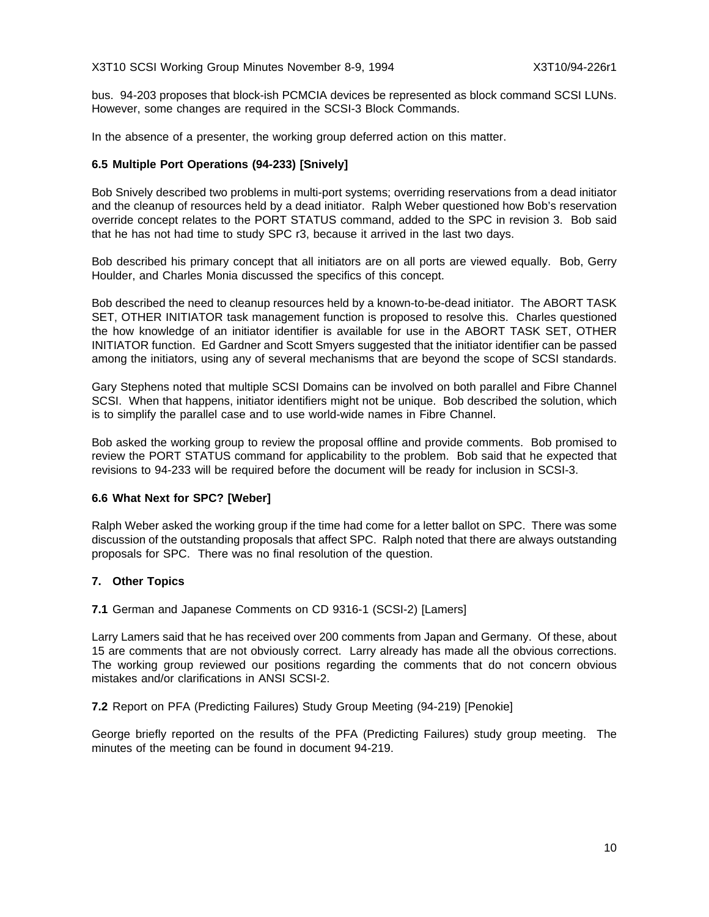bus. 94-203 proposes that block-ish PCMCIA devices be represented as block command SCSI LUNs. However, some changes are required in the SCSI-3 Block Commands.

In the absence of a presenter, the working group deferred action on this matter.

## **6.5 Multiple Port Operations (94-233) [Snively]**

Bob Snively described two problems in multi-port systems; overriding reservations from a dead initiator and the cleanup of resources held by a dead initiator. Ralph Weber questioned how Bob's reservation override concept relates to the PORT STATUS command, added to the SPC in revision 3. Bob said that he has not had time to study SPC r3, because it arrived in the last two days.

Bob described his primary concept that all initiators are on all ports are viewed equally. Bob, Gerry Houlder, and Charles Monia discussed the specifics of this concept.

Bob described the need to cleanup resources held by a known-to-be-dead initiator. The ABORT TASK SET, OTHER INITIATOR task management function is proposed to resolve this. Charles questioned the how knowledge of an initiator identifier is available for use in the ABORT TASK SET, OTHER INITIATOR function. Ed Gardner and Scott Smyers suggested that the initiator identifier can be passed among the initiators, using any of several mechanisms that are beyond the scope of SCSI standards.

Gary Stephens noted that multiple SCSI Domains can be involved on both parallel and Fibre Channel SCSI. When that happens, initiator identifiers might not be unique. Bob described the solution, which is to simplify the parallel case and to use world-wide names in Fibre Channel.

Bob asked the working group to review the proposal offline and provide comments. Bob promised to review the PORT STATUS command for applicability to the problem. Bob said that he expected that revisions to 94-233 will be required before the document will be ready for inclusion in SCSI-3.

## **6.6 What Next for SPC? [Weber]**

Ralph Weber asked the working group if the time had come for a letter ballot on SPC. There was some discussion of the outstanding proposals that affect SPC. Ralph noted that there are always outstanding proposals for SPC. There was no final resolution of the question.

## **7. Other Topics**

**7.1** German and Japanese Comments on CD 9316-1 (SCSI-2) [Lamers]

Larry Lamers said that he has received over 200 comments from Japan and Germany. Of these, about 15 are comments that are not obviously correct. Larry already has made all the obvious corrections. The working group reviewed our positions regarding the comments that do not concern obvious mistakes and/or clarifications in ANSI SCSI-2.

**7.2** Report on PFA (Predicting Failures) Study Group Meeting (94-219) [Penokie]

George briefly reported on the results of the PFA (Predicting Failures) study group meeting. The minutes of the meeting can be found in document 94-219.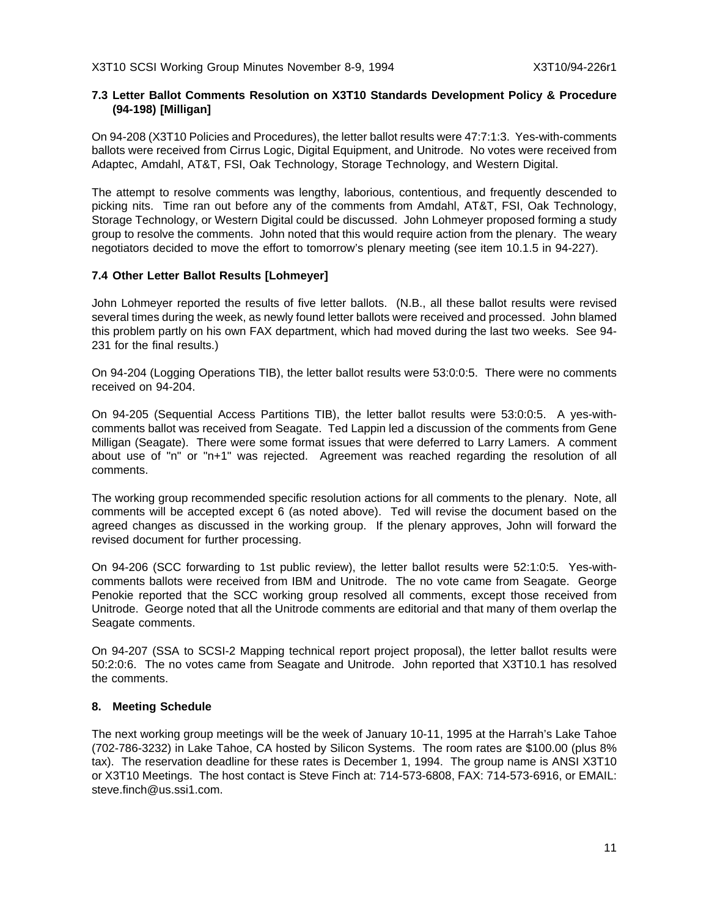## **7.3 Letter Ballot Comments Resolution on X3T10 Standards Development Policy & Procedure (94-198) [Milligan]**

On 94-208 (X3T10 Policies and Procedures), the letter ballot results were 47:7:1:3. Yes-with-comments ballots were received from Cirrus Logic, Digital Equipment, and Unitrode. No votes were received from Adaptec, Amdahl, AT&T, FSI, Oak Technology, Storage Technology, and Western Digital.

The attempt to resolve comments was lengthy, laborious, contentious, and frequently descended to picking nits. Time ran out before any of the comments from Amdahl, AT&T, FSI, Oak Technology, Storage Technology, or Western Digital could be discussed. John Lohmeyer proposed forming a study group to resolve the comments. John noted that this would require action from the plenary. The weary negotiators decided to move the effort to tomorrow's plenary meeting (see item 10.1.5 in 94-227).

## **7.4 Other Letter Ballot Results [Lohmeyer]**

John Lohmeyer reported the results of five letter ballots. (N.B., all these ballot results were revised several times during the week, as newly found letter ballots were received and processed. John blamed this problem partly on his own FAX department, which had moved during the last two weeks. See 94- 231 for the final results.)

On 94-204 (Logging Operations TIB), the letter ballot results were 53:0:0:5. There were no comments received on 94-204.

On 94-205 (Sequential Access Partitions TIB), the letter ballot results were 53:0:0:5. A yes-withcomments ballot was received from Seagate. Ted Lappin led a discussion of the comments from Gene Milligan (Seagate). There were some format issues that were deferred to Larry Lamers. A comment about use of "n" or "n+1" was rejected. Agreement was reached regarding the resolution of all comments.

The working group recommended specific resolution actions for all comments to the plenary. Note, all comments will be accepted except 6 (as noted above). Ted will revise the document based on the agreed changes as discussed in the working group. If the plenary approves, John will forward the revised document for further processing.

On 94-206 (SCC forwarding to 1st public review), the letter ballot results were 52:1:0:5. Yes-withcomments ballots were received from IBM and Unitrode. The no vote came from Seagate. George Penokie reported that the SCC working group resolved all comments, except those received from Unitrode. George noted that all the Unitrode comments are editorial and that many of them overlap the Seagate comments.

On 94-207 (SSA to SCSI-2 Mapping technical report project proposal), the letter ballot results were 50:2:0:6. The no votes came from Seagate and Unitrode. John reported that X3T10.1 has resolved the comments.

## **8. Meeting Schedule**

The next working group meetings will be the week of January 10-11, 1995 at the Harrah's Lake Tahoe (702-786-3232) in Lake Tahoe, CA hosted by Silicon Systems. The room rates are \$100.00 (plus 8% tax). The reservation deadline for these rates is December 1, 1994. The group name is ANSI X3T10 or X3T10 Meetings. The host contact is Steve Finch at: 714-573-6808, FAX: 714-573-6916, or EMAIL: steve.finch@us.ssi1.com.